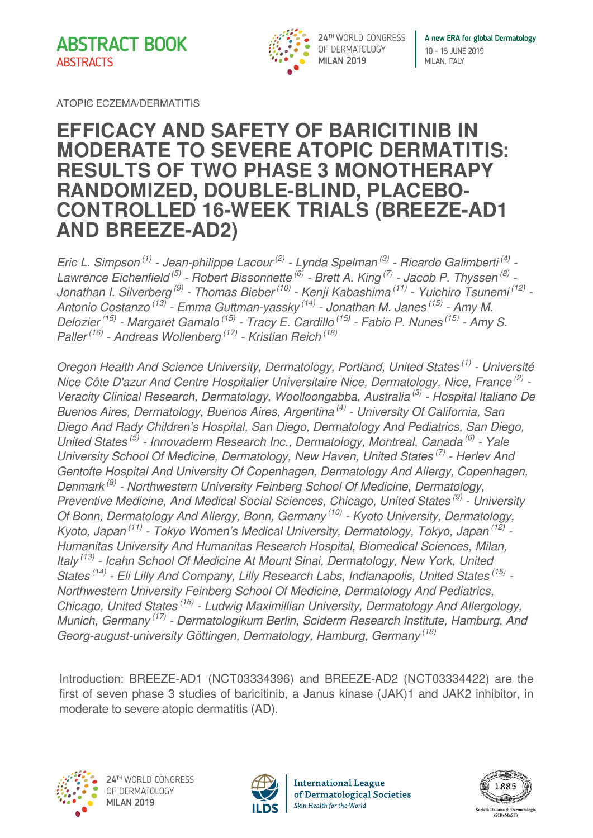**ABSTRACT BOOK ABSTRACTS** 



A new ERA for global Dermatology 10 - 15 JUNE 2019 MILAN, ITALY

ATOPIC ECZEMA/DERMATITIS

## **EFFICACY AND SAFETY OF BARICITINIB IN MODERATE TO SEVERE ATOPIC DERMATITIS: RESULTS OF TWO PHASE 3 MONOTHERAPY RANDOMIZED, DOUBLE-BLIND, PLACEBO-CONTROLLED 16-WEEK TRIALS (BREEZE-AD1 AND BREEZE-AD2)**

*Eric L. Simpson (1) - Jean-philippe Lacour (2) - Lynda Spelman (3) - Ricardo Galimberti (4) - Lawrence Eichenfield (5) - Robert Bissonnette (6) - Brett A. King (7) - Jacob P. Thyssen (8) - Jonathan I. Silverberg (9) - Thomas Bieber (10) - Kenji Kabashima (11) - Yuichiro Tsunemi (12) - Antonio Costanzo (13) - Emma Guttman-yassky (14) - Jonathan M. Janes (15) - Amy M. Delozier (15) - Margaret Gamalo (15) - Tracy E. Cardillo (15) - Fabio P. Nunes (15) - Amy S. Paller (16) - Andreas Wollenberg (17) - Kristian Reich (18)*

*Oregon Health And Science University, Dermatology, Portland, United States (1) - Université Nice Côte D'azur And Centre Hospitalier Universitaire Nice, Dermatology, Nice, France (2) - Veracity Clinical Research, Dermatology, Woolloongabba, Australia (3) - Hospital Italiano De Buenos Aires, Dermatology, Buenos Aires, Argentina (4) - University Of California, San Diego And Rady Children's Hospital, San Diego, Dermatology And Pediatrics, San Diego, United States (5) - Innovaderm Research Inc., Dermatology, Montreal, Canada (6) - Yale University School Of Medicine, Dermatology, New Haven, United States (7) - Herlev And Gentofte Hospital And University Of Copenhagen, Dermatology And Allergy, Copenhagen, Denmark (8) - Northwestern University Feinberg School Of Medicine, Dermatology, Preventive Medicine, And Medical Social Sciences, Chicago, United States (9) - University Of Bonn, Dermatology And Allergy, Bonn, Germany (10) - Kyoto University, Dermatology, Kyoto, Japan (11) - Tokyo Women's Medical University, Dermatology, Tokyo, Japan (12) - Humanitas University And Humanitas Research Hospital, Biomedical Sciences, Milan, Italy (13) - Icahn School Of Medicine At Mount Sinai, Dermatology, New York, United States (14) - Eli Lilly And Company, Lilly Research Labs, Indianapolis, United States (15) - Northwestern University Feinberg School Of Medicine, Dermatology And Pediatrics, Chicago, United States (16) - Ludwig Maximillian University, Dermatology And Allergology, Munich, Germany (17) - Dermatologikum Berlin, Sciderm Research Institute, Hamburg, And Georg-august-university Göttingen, Dermatology, Hamburg, Germany (18)*

Introduction: BREEZE-AD1 (NCT03334396) and BREEZE-AD2 (NCT03334422) are the first of seven phase 3 studies of baricitinib, a Janus kinase (JAK)1 and JAK2 inhibitor, in moderate to severe atopic dermatitis (AD).





**International League** of Dermatological Societies Skin Health for the World